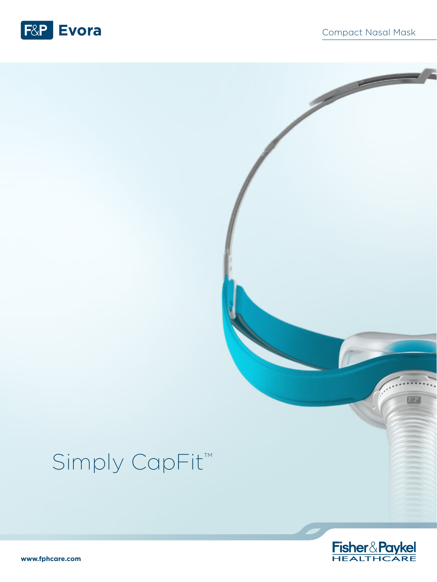

# Simply CapFit<sup>™</sup>



國

**www.fphcare.com**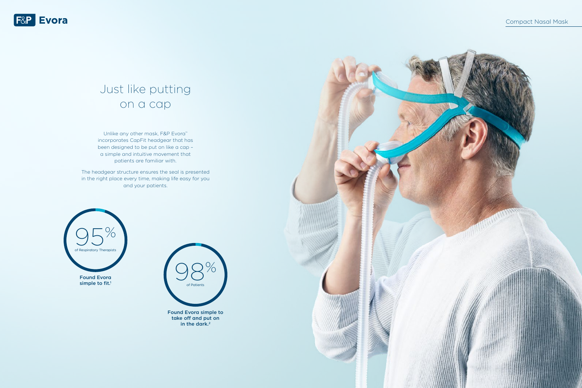

### Just like putting on a cap

Unlike any other mask, F&P Evora<sup>™</sup> incorporates CapFit headgear that has been designed to be put on like a cap – a simple and intuitive movement that patients are familiar with.

> Found Evora simple to take off and put on in the dark.<sup>2</sup>



The headgear structure ensures the seal is presented in the right place every time, making life easy for you and your patients.



simple to fit.<sup>1</sup>

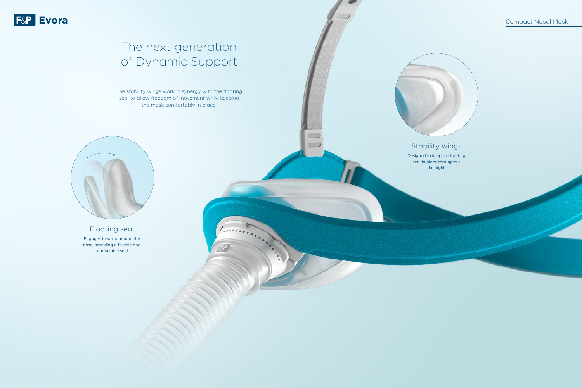# The next generation of Dynamic Support

The stability wings work in synergy with the floating seal to allow freedom of movement while keeping the mask comfortably in place.



### Floating seal

Engages to wrap around the nose, providing a flexible and comfortable seal.



### Stability wings

Designed to keep the floating seal in place throughout the night.

 $\qquad \qquad \qquad$  $\qquad \qquad \qquad$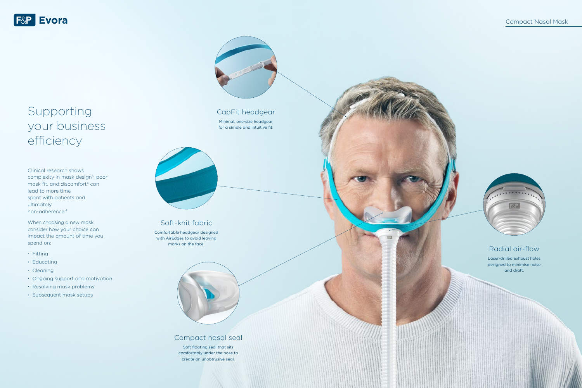#### Soft-knit fabric

Comfortable headgear designed with AirEdges to avoid leaving marks on the face.



Compact nasal seal

Soft floating seal that sits comfortably under the nose to create an unobtrusive seal.

### Radial air-flow

Laser-drilled exhaust holes designed to minimise noise and draft.

#### CapFit headgear

Minimal, one-size headgear for a simple and intuitive fit.





## Supporting your business efficiency

Clinical research shows complexity in mask design<sup>3</sup>, poor mask fit, and discomfort<sup>4</sup> can lead to more time spent with patients and ultimately non-adherence.4

When choosing a new mask consider how your choice can impact the amount of time you spend on:

- Fitting
- Educating
- Cleaning
- Ongoing support and motivation
- Resolving mask problems
- Subsequent mask setups